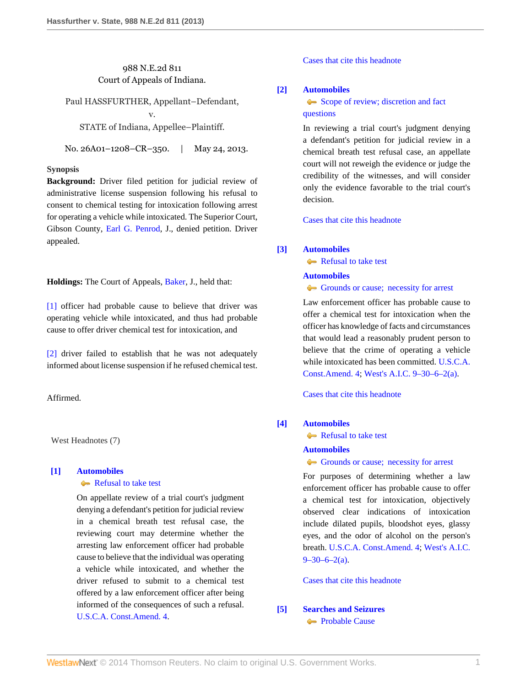## 988 N.E.2d 811 Court of Appeals of Indiana.

Paul HASSFURTHER, Appellant–Defendant,

v.

STATE of Indiana, Appellee–Plaintiff.

No. 26A01–1208–CR–350. | May 24, 2013.

### **Synopsis**

**Background:** Driver filed petition for judicial review of administrative license suspension following his refusal to consent to chemical testing for intoxication following arrest for operating a vehicle while intoxicated. The Superior Court, Gibson County, [Earl G. Penrod,](http://www.westlaw.com/Link/Document/FullText?findType=h&pubNum=176284&cite=0113452901&originatingDoc=Idc8860e8c6bd11e2a160cacff148223f&refType=RQ&originationContext=document&vr=3.0&rs=cblt1.0&transitionType=DocumentItem&contextData=(sc.Search)) J., denied petition. Driver appealed.

**Holdings:** The Court of Appeals, [Baker,](http://www.westlaw.com/Link/Document/FullText?findType=h&pubNum=176284&cite=0210100701&originatingDoc=Idc8860e8c6bd11e2a160cacff148223f&refType=RQ&originationContext=document&vr=3.0&rs=cblt1.0&transitionType=DocumentItem&contextData=(sc.Search)) J., held that:

[\[1\]](#page-1-0) officer had probable cause to believe that driver was operating vehicle while intoxicated, and thus had probable cause to offer driver chemical test for intoxication, and

[\[2\]](#page-1-1) driver failed to establish that he was not adequately informed about license suspension if he refused chemical test.

Affirmed.

West Headnotes (7)

## <span id="page-0-0"></span>**[\[1\]](#page-3-0) [Automobiles](http://www.westlaw.com/Browse/Home/KeyNumber/48A/View.html?docGuid=Idc8860e8c6bd11e2a160cacff148223f&originationContext=document&vr=3.0&rs=cblt1.0&transitionType=DocumentItem&contextData=(sc.Search))**

## [Refusal to take test](http://www.westlaw.com/Browse/Home/KeyNumber/48Ak144.1(1.20)/View.html?docGuid=Idc8860e8c6bd11e2a160cacff148223f&originationContext=document&vr=3.0&rs=cblt1.0&transitionType=DocumentItem&contextData=(sc.Search))

On appellate review of a trial court's judgment denying a defendant's petition for judicial review in a chemical breath test refusal case, the reviewing court may determine whether the arresting law enforcement officer had probable cause to believe that the individual was operating a vehicle while intoxicated, and whether the driver refused to submit to a chemical test offered by a law enforcement officer after being informed of the consequences of such a refusal. [U.S.C.A. Const.Amend. 4.](http://www.westlaw.com/Link/Document/FullText?findType=L&pubNum=1000546&cite=USCOAMENDIV&originatingDoc=Idc8860e8c6bd11e2a160cacff148223f&refType=LQ&originationContext=document&vr=3.0&rs=cblt1.0&transitionType=DocumentItem&contextData=(sc.Search))

[Cases that cite this headnote](http://www.westlaw.com/Link/RelatedInformation/DocHeadnoteLink?docGuid=Idc8860e8c6bd11e2a160cacff148223f&headnoteId=203061228600120130924201824&originationContext=document&vr=3.0&rs=cblt1.0&transitionType=CitingReferences&contextData=(sc.Search))

## <span id="page-0-1"></span>**[\[2\]](#page-3-1) [Automobiles](http://www.westlaw.com/Browse/Home/KeyNumber/48A/View.html?docGuid=Idc8860e8c6bd11e2a160cacff148223f&originationContext=document&vr=3.0&rs=cblt1.0&transitionType=DocumentItem&contextData=(sc.Search))**

[Scope of review; discretion and fact](http://www.westlaw.com/Browse/Home/KeyNumber/48Ak144.2(3)/View.html?docGuid=Idc8860e8c6bd11e2a160cacff148223f&originationContext=document&vr=3.0&rs=cblt1.0&transitionType=DocumentItem&contextData=(sc.Search)) [questions](http://www.westlaw.com/Browse/Home/KeyNumber/48Ak144.2(3)/View.html?docGuid=Idc8860e8c6bd11e2a160cacff148223f&originationContext=document&vr=3.0&rs=cblt1.0&transitionType=DocumentItem&contextData=(sc.Search))

In reviewing a trial court's judgment denying a defendant's petition for judicial review in a chemical breath test refusal case, an appellate court will not reweigh the evidence or judge the credibility of the witnesses, and will consider only the evidence favorable to the trial court's decision.

[Cases that cite this headnote](http://www.westlaw.com/Link/RelatedInformation/DocHeadnoteLink?docGuid=Idc8860e8c6bd11e2a160cacff148223f&headnoteId=203061228600220130924201824&originationContext=document&vr=3.0&rs=cblt1.0&transitionType=CitingReferences&contextData=(sc.Search))

## <span id="page-0-2"></span>**[\[3\]](#page-3-2) [Automobiles](http://www.westlaw.com/Browse/Home/KeyNumber/48A/View.html?docGuid=Idc8860e8c6bd11e2a160cacff148223f&originationContext=document&vr=3.0&rs=cblt1.0&transitionType=DocumentItem&contextData=(sc.Search))**

[Refusal to take test](http://www.westlaw.com/Browse/Home/KeyNumber/48Ak144.1(1.20)/View.html?docGuid=Idc8860e8c6bd11e2a160cacff148223f&originationContext=document&vr=3.0&rs=cblt1.0&transitionType=DocumentItem&contextData=(sc.Search))

#### **[Automobiles](http://www.westlaw.com/Browse/Home/KeyNumber/48A/View.html?docGuid=Idc8860e8c6bd11e2a160cacff148223f&originationContext=document&vr=3.0&rs=cblt1.0&transitionType=DocumentItem&contextData=(sc.Search))**

[Grounds or cause; necessity for arrest](http://www.westlaw.com/Browse/Home/KeyNumber/48Ak419/View.html?docGuid=Idc8860e8c6bd11e2a160cacff148223f&originationContext=document&vr=3.0&rs=cblt1.0&transitionType=DocumentItem&contextData=(sc.Search))

Law enforcement officer has probable cause to offer a chemical test for intoxication when the officer has knowledge of facts and circumstances that would lead a reasonably prudent person to believe that the crime of operating a vehicle while intoxicated has been committed. [U.S.C.A.](http://www.westlaw.com/Link/Document/FullText?findType=L&pubNum=1000546&cite=USCOAMENDIV&originatingDoc=Idc8860e8c6bd11e2a160cacff148223f&refType=LQ&originationContext=document&vr=3.0&rs=cblt1.0&transitionType=DocumentItem&contextData=(sc.Search)) [Const.Amend. 4;](http://www.westlaw.com/Link/Document/FullText?findType=L&pubNum=1000546&cite=USCOAMENDIV&originatingDoc=Idc8860e8c6bd11e2a160cacff148223f&refType=LQ&originationContext=document&vr=3.0&rs=cblt1.0&transitionType=DocumentItem&contextData=(sc.Search)) [West's A.I.C. 9–30–6–2\(a\)](http://www.westlaw.com/Link/Document/FullText?findType=L&pubNum=1000009&cite=INS9-30-6-2&originatingDoc=Idc8860e8c6bd11e2a160cacff148223f&refType=SP&originationContext=document&vr=3.0&rs=cblt1.0&transitionType=DocumentItem&contextData=(sc.Search)#co_pp_8b3b0000958a4).

[Cases that cite this headnote](http://www.westlaw.com/Link/RelatedInformation/DocHeadnoteLink?docGuid=Idc8860e8c6bd11e2a160cacff148223f&headnoteId=203061228600320130924201824&originationContext=document&vr=3.0&rs=cblt1.0&transitionType=CitingReferences&contextData=(sc.Search))

## <span id="page-0-3"></span>**[\[4\]](#page-3-3) [Automobiles](http://www.westlaw.com/Browse/Home/KeyNumber/48A/View.html?docGuid=Idc8860e8c6bd11e2a160cacff148223f&originationContext=document&vr=3.0&rs=cblt1.0&transitionType=DocumentItem&contextData=(sc.Search))**

[Refusal to take test](http://www.westlaw.com/Browse/Home/KeyNumber/48Ak144.1(1.20)/View.html?docGuid=Idc8860e8c6bd11e2a160cacff148223f&originationContext=document&vr=3.0&rs=cblt1.0&transitionType=DocumentItem&contextData=(sc.Search))

#### **[Automobiles](http://www.westlaw.com/Browse/Home/KeyNumber/48A/View.html?docGuid=Idc8860e8c6bd11e2a160cacff148223f&originationContext=document&vr=3.0&rs=cblt1.0&transitionType=DocumentItem&contextData=(sc.Search))**

[Grounds or cause; necessity for arrest](http://www.westlaw.com/Browse/Home/KeyNumber/48Ak419/View.html?docGuid=Idc8860e8c6bd11e2a160cacff148223f&originationContext=document&vr=3.0&rs=cblt1.0&transitionType=DocumentItem&contextData=(sc.Search))

For purposes of determining whether a law enforcement officer has probable cause to offer a chemical test for intoxication, objectively observed clear indications of intoxication include dilated pupils, bloodshot eyes, glassy eyes, and the odor of alcohol on the person's breath. [U.S.C.A. Const.Amend. 4;](http://www.westlaw.com/Link/Document/FullText?findType=L&pubNum=1000546&cite=USCOAMENDIV&originatingDoc=Idc8860e8c6bd11e2a160cacff148223f&refType=LQ&originationContext=document&vr=3.0&rs=cblt1.0&transitionType=DocumentItem&contextData=(sc.Search)) [West's A.I.C.](http://www.westlaw.com/Link/Document/FullText?findType=L&pubNum=1000009&cite=INS9-30-6-2&originatingDoc=Idc8860e8c6bd11e2a160cacff148223f&refType=SP&originationContext=document&vr=3.0&rs=cblt1.0&transitionType=DocumentItem&contextData=(sc.Search)#co_pp_8b3b0000958a4)  $9 - 30 - 6 - 2(a)$ .

## [Cases that cite this headnote](http://www.westlaw.com/Link/RelatedInformation/DocHeadnoteLink?docGuid=Idc8860e8c6bd11e2a160cacff148223f&headnoteId=203061228600420130924201824&originationContext=document&vr=3.0&rs=cblt1.0&transitionType=CitingReferences&contextData=(sc.Search))

## <span id="page-0-4"></span>**[\[5\]](#page-3-4) [Searches and Seizures](http://www.westlaw.com/Browse/Home/KeyNumber/349/View.html?docGuid=Idc8860e8c6bd11e2a160cacff148223f&originationContext=document&vr=3.0&rs=cblt1.0&transitionType=DocumentItem&contextData=(sc.Search)) [Probable Cause](http://www.westlaw.com/Browse/Home/KeyNumber/349k40/View.html?docGuid=Idc8860e8c6bd11e2a160cacff148223f&originationContext=document&vr=3.0&rs=cblt1.0&transitionType=DocumentItem&contextData=(sc.Search))**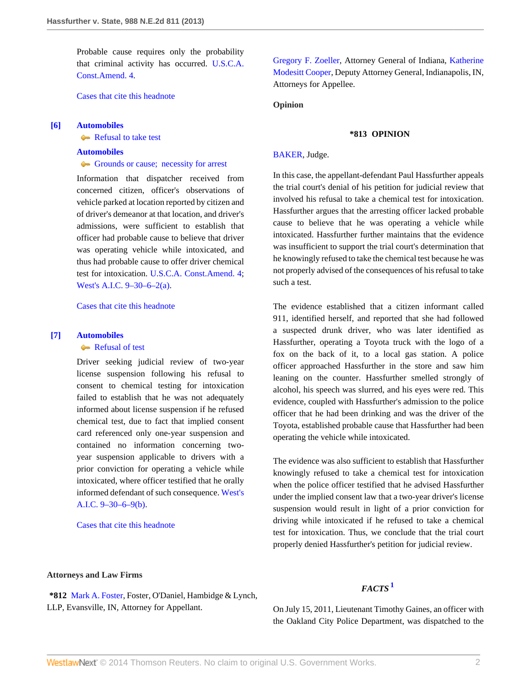Probable cause requires only the probability that criminal activity has occurred. [U.S.C.A.](http://www.westlaw.com/Link/Document/FullText?findType=L&pubNum=1000546&cite=USCOAMENDIV&originatingDoc=Idc8860e8c6bd11e2a160cacff148223f&refType=LQ&originationContext=document&vr=3.0&rs=cblt1.0&transitionType=DocumentItem&contextData=(sc.Search)) [Const.Amend. 4.](http://www.westlaw.com/Link/Document/FullText?findType=L&pubNum=1000546&cite=USCOAMENDIV&originatingDoc=Idc8860e8c6bd11e2a160cacff148223f&refType=LQ&originationContext=document&vr=3.0&rs=cblt1.0&transitionType=DocumentItem&contextData=(sc.Search))

[Cases that cite this headnote](http://www.westlaw.com/Link/RelatedInformation/DocHeadnoteLink?docGuid=Idc8860e8c6bd11e2a160cacff148223f&headnoteId=203061228600520130924201824&originationContext=document&vr=3.0&rs=cblt1.0&transitionType=CitingReferences&contextData=(sc.Search))

#### <span id="page-1-0"></span>**[\[6\]](#page-4-0) [Automobiles](http://www.westlaw.com/Browse/Home/KeyNumber/48A/View.html?docGuid=Idc8860e8c6bd11e2a160cacff148223f&originationContext=document&vr=3.0&rs=cblt1.0&transitionType=DocumentItem&contextData=(sc.Search))**

[Refusal to take test](http://www.westlaw.com/Browse/Home/KeyNumber/48Ak144.1(1.20)/View.html?docGuid=Idc8860e8c6bd11e2a160cacff148223f&originationContext=document&vr=3.0&rs=cblt1.0&transitionType=DocumentItem&contextData=(sc.Search))

## **[Automobiles](http://www.westlaw.com/Browse/Home/KeyNumber/48A/View.html?docGuid=Idc8860e8c6bd11e2a160cacff148223f&originationContext=document&vr=3.0&rs=cblt1.0&transitionType=DocumentItem&contextData=(sc.Search))**

#### [Grounds or cause; necessity for arrest](http://www.westlaw.com/Browse/Home/KeyNumber/48Ak419/View.html?docGuid=Idc8860e8c6bd11e2a160cacff148223f&originationContext=document&vr=3.0&rs=cblt1.0&transitionType=DocumentItem&contextData=(sc.Search))

Information that dispatcher received from concerned citizen, officer's observations of vehicle parked at location reported by citizen and of driver's demeanor at that location, and driver's admissions, were sufficient to establish that officer had probable cause to believe that driver was operating vehicle while intoxicated, and thus had probable cause to offer driver chemical test for intoxication. [U.S.C.A. Const.Amend. 4;](http://www.westlaw.com/Link/Document/FullText?findType=L&pubNum=1000546&cite=USCOAMENDIV&originatingDoc=Idc8860e8c6bd11e2a160cacff148223f&refType=LQ&originationContext=document&vr=3.0&rs=cblt1.0&transitionType=DocumentItem&contextData=(sc.Search)) [West's A.I.C. 9–30–6–2\(a\).](http://www.westlaw.com/Link/Document/FullText?findType=L&pubNum=1000009&cite=INS9-30-6-2&originatingDoc=Idc8860e8c6bd11e2a160cacff148223f&refType=SP&originationContext=document&vr=3.0&rs=cblt1.0&transitionType=DocumentItem&contextData=(sc.Search)#co_pp_8b3b0000958a4)

[Cases that cite this headnote](http://www.westlaw.com/Link/RelatedInformation/DocHeadnoteLink?docGuid=Idc8860e8c6bd11e2a160cacff148223f&headnoteId=203061228600620130924201824&originationContext=document&vr=3.0&rs=cblt1.0&transitionType=CitingReferences&contextData=(sc.Search))

# <span id="page-1-1"></span>**[\[7\]](#page-4-1) [Automobiles](http://www.westlaw.com/Browse/Home/KeyNumber/48A/View.html?docGuid=Idc8860e8c6bd11e2a160cacff148223f&originationContext=document&vr=3.0&rs=cblt1.0&transitionType=DocumentItem&contextData=(sc.Search))**

## [Refusal of test](http://www.westlaw.com/Browse/Home/KeyNumber/48Ak144.2(10.3)/View.html?docGuid=Idc8860e8c6bd11e2a160cacff148223f&originationContext=document&vr=3.0&rs=cblt1.0&transitionType=DocumentItem&contextData=(sc.Search))

Driver seeking judicial review of two-year license suspension following his refusal to consent to chemical testing for intoxication failed to establish that he was not adequately informed about license suspension if he refused chemical test, due to fact that implied consent card referenced only one-year suspension and contained no information concerning twoyear suspension applicable to drivers with a prior conviction for operating a vehicle while intoxicated, where officer testified that he orally informed defendant of such consequence. [West's](http://www.westlaw.com/Link/Document/FullText?findType=L&pubNum=1000009&cite=INS9-30-6-9&originatingDoc=Idc8860e8c6bd11e2a160cacff148223f&refType=SP&originationContext=document&vr=3.0&rs=cblt1.0&transitionType=DocumentItem&contextData=(sc.Search)#co_pp_a83b000018c76) [A.I.C. 9–30–6–9\(b\)](http://www.westlaw.com/Link/Document/FullText?findType=L&pubNum=1000009&cite=INS9-30-6-9&originatingDoc=Idc8860e8c6bd11e2a160cacff148223f&refType=SP&originationContext=document&vr=3.0&rs=cblt1.0&transitionType=DocumentItem&contextData=(sc.Search)#co_pp_a83b000018c76).

[Cases that cite this headnote](http://www.westlaw.com/Link/RelatedInformation/DocHeadnoteLink?docGuid=Idc8860e8c6bd11e2a160cacff148223f&headnoteId=203061228600720130924201824&originationContext=document&vr=3.0&rs=cblt1.0&transitionType=CitingReferences&contextData=(sc.Search))

**Attorneys and Law Firms**

**\*812** [Mark A. Foster,](http://www.westlaw.com/Link/Document/FullText?findType=h&pubNum=176284&cite=0283137301&originatingDoc=Idc8860e8c6bd11e2a160cacff148223f&refType=RQ&originationContext=document&vr=3.0&rs=cblt1.0&transitionType=DocumentItem&contextData=(sc.Search)) Foster, O'Daniel, Hambidge & Lynch, LLP, Evansville, IN, Attorney for Appellant.

[Gregory F. Zoeller,](http://www.westlaw.com/Link/Document/FullText?findType=h&pubNum=176284&cite=0136038801&originatingDoc=Idc8860e8c6bd11e2a160cacff148223f&refType=RQ&originationContext=document&vr=3.0&rs=cblt1.0&transitionType=DocumentItem&contextData=(sc.Search)) Attorney General of Indiana, [Katherine](http://www.westlaw.com/Link/Document/FullText?findType=h&pubNum=176284&cite=0341679801&originatingDoc=Idc8860e8c6bd11e2a160cacff148223f&refType=RQ&originationContext=document&vr=3.0&rs=cblt1.0&transitionType=DocumentItem&contextData=(sc.Search)) [Modesitt Cooper,](http://www.westlaw.com/Link/Document/FullText?findType=h&pubNum=176284&cite=0341679801&originatingDoc=Idc8860e8c6bd11e2a160cacff148223f&refType=RQ&originationContext=document&vr=3.0&rs=cblt1.0&transitionType=DocumentItem&contextData=(sc.Search)) Deputy Attorney General, Indianapolis, IN, Attorneys for Appellee.

**Opinion**

## **\*813 OPINION**

#### [BAKER,](http://www.westlaw.com/Link/Document/FullText?findType=h&pubNum=176284&cite=0210100701&originatingDoc=Idc8860e8c6bd11e2a160cacff148223f&refType=RQ&originationContext=document&vr=3.0&rs=cblt1.0&transitionType=DocumentItem&contextData=(sc.Search)) Judge.

In this case, the appellant-defendant Paul Hassfurther appeals the trial court's denial of his petition for judicial review that involved his refusal to take a chemical test for intoxication. Hassfurther argues that the arresting officer lacked probable cause to believe that he was operating a vehicle while intoxicated. Hassfurther further maintains that the evidence was insufficient to support the trial court's determination that he knowingly refused to take the chemical test because he was not properly advised of the consequences of his refusal to take such a test.

The evidence established that a citizen informant called 911, identified herself, and reported that she had followed a suspected drunk driver, who was later identified as Hassfurther, operating a Toyota truck with the logo of a fox on the back of it, to a local gas station. A police officer approached Hassfurther in the store and saw him leaning on the counter. Hassfurther smelled strongly of alcohol, his speech was slurred, and his eyes were red. This evidence, coupled with Hassfurther's admission to the police officer that he had been drinking and was the driver of the Toyota, established probable cause that Hassfurther had been operating the vehicle while intoxicated.

The evidence was also sufficient to establish that Hassfurther knowingly refused to take a chemical test for intoxication when the police officer testified that he advised Hassfurther under the implied consent law that a two-year driver's license suspension would result in light of a prior conviction for driving while intoxicated if he refused to take a chemical test for intoxication. Thus, we conclude that the trial court properly denied Hassfurther's petition for judicial review.

## <span id="page-1-2"></span>*FACTS***[1](#page-5-0)**

On July 15, 2011, Lieutenant Timothy Gaines, an officer with the Oakland City Police Department, was dispatched to the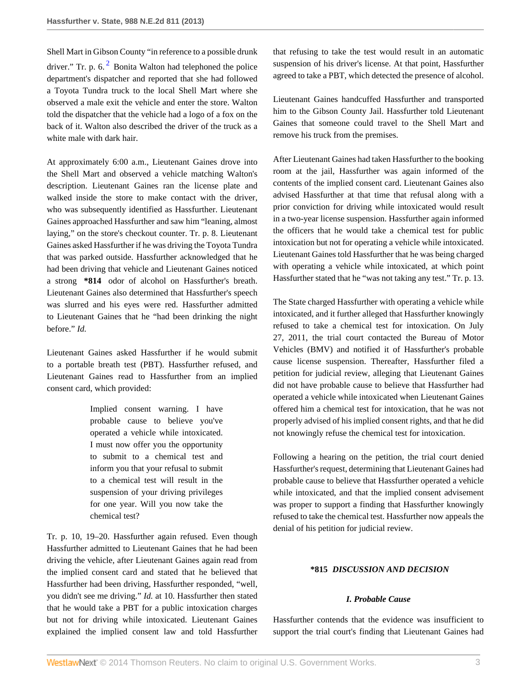<span id="page-2-0"></span>Shell Mart in Gibson County "in reference to a possible drunk driver." Tr. p. 6. $<sup>2</sup>$  $<sup>2</sup>$  $<sup>2</sup>$  Bonita Walton had telephoned the police</sup> department's dispatcher and reported that she had followed a Toyota Tundra truck to the local Shell Mart where she observed a male exit the vehicle and enter the store. Walton told the dispatcher that the vehicle had a logo of a fox on the back of it. Walton also described the driver of the truck as a white male with dark hair.

At approximately 6:00 a.m., Lieutenant Gaines drove into the Shell Mart and observed a vehicle matching Walton's description. Lieutenant Gaines ran the license plate and walked inside the store to make contact with the driver, who was subsequently identified as Hassfurther. Lieutenant Gaines approached Hassfurther and saw him "leaning, almost laying," on the store's checkout counter. Tr. p. 8. Lieutenant Gaines asked Hassfurther if he was driving the Toyota Tundra that was parked outside. Hassfurther acknowledged that he had been driving that vehicle and Lieutenant Gaines noticed a strong **\*814** odor of alcohol on Hassfurther's breath. Lieutenant Gaines also determined that Hassfurther's speech was slurred and his eyes were red. Hassfurther admitted to Lieutenant Gaines that he "had been drinking the night before." *Id.*

Lieutenant Gaines asked Hassfurther if he would submit to a portable breath test (PBT). Hassfurther refused, and Lieutenant Gaines read to Hassfurther from an implied consent card, which provided:

> Implied consent warning. I have probable cause to believe you've operated a vehicle while intoxicated. I must now offer you the opportunity to submit to a chemical test and inform you that your refusal to submit to a chemical test will result in the suspension of your driving privileges for one year. Will you now take the chemical test?

Tr. p. 10, 19–20. Hassfurther again refused. Even though Hassfurther admitted to Lieutenant Gaines that he had been driving the vehicle, after Lieutenant Gaines again read from the implied consent card and stated that he believed that Hassfurther had been driving, Hassfurther responded, "well, you didn't see me driving." *Id.* at 10. Hassfurther then stated that he would take a PBT for a public intoxication charges but not for driving while intoxicated. Lieutenant Gaines explained the implied consent law and told Hassfurther that refusing to take the test would result in an automatic suspension of his driver's license. At that point, Hassfurther agreed to take a PBT, which detected the presence of alcohol.

Lieutenant Gaines handcuffed Hassfurther and transported him to the Gibson County Jail. Hassfurther told Lieutenant Gaines that someone could travel to the Shell Mart and remove his truck from the premises.

After Lieutenant Gaines had taken Hassfurther to the booking room at the jail, Hassfurther was again informed of the contents of the implied consent card. Lieutenant Gaines also advised Hassfurther at that time that refusal along with a prior conviction for driving while intoxicated would result in a two-year license suspension. Hassfurther again informed the officers that he would take a chemical test for public intoxication but not for operating a vehicle while intoxicated. Lieutenant Gaines told Hassfurther that he was being charged with operating a vehicle while intoxicated, at which point Hassfurther stated that he "was not taking any test." Tr. p. 13.

The State charged Hassfurther with operating a vehicle while intoxicated, and it further alleged that Hassfurther knowingly refused to take a chemical test for intoxication. On July 27, 2011, the trial court contacted the Bureau of Motor Vehicles (BMV) and notified it of Hassfurther's probable cause license suspension. Thereafter, Hassfurther filed a petition for judicial review, alleging that Lieutenant Gaines did not have probable cause to believe that Hassfurther had operated a vehicle while intoxicated when Lieutenant Gaines offered him a chemical test for intoxication, that he was not properly advised of his implied consent rights, and that he did not knowingly refuse the chemical test for intoxication.

Following a hearing on the petition, the trial court denied Hassfurther's request, determining that Lieutenant Gaines had probable cause to believe that Hassfurther operated a vehicle while intoxicated, and that the implied consent advisement was proper to support a finding that Hassfurther knowingly refused to take the chemical test. Hassfurther now appeals the denial of his petition for judicial review.

### **\*815** *DISCUSSION AND DECISION*

## *I. Probable Cause*

Hassfurther contends that the evidence was insufficient to support the trial court's finding that Lieutenant Gaines had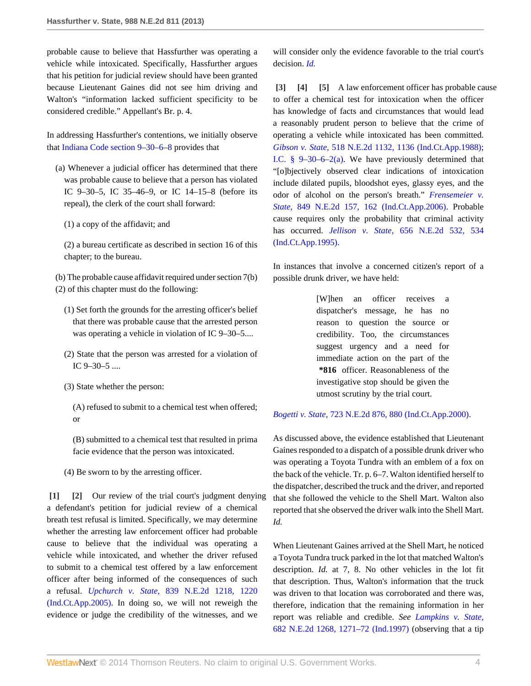probable cause to believe that Hassfurther was operating a vehicle while intoxicated. Specifically, Hassfurther argues that his petition for judicial review should have been granted because Lieutenant Gaines did not see him driving and Walton's "information lacked sufficient specificity to be considered credible." Appellant's Br. p. 4.

In addressing Hassfurther's contentions, we initially observe that [Indiana Code section 9–30–6–8](http://www.westlaw.com/Link/Document/FullText?findType=L&pubNum=1000009&cite=INS9-30-6-8&originatingDoc=Idc8860e8c6bd11e2a160cacff148223f&refType=LQ&originationContext=document&vr=3.0&rs=cblt1.0&transitionType=DocumentItem&contextData=(sc.Search)) provides that

- (a) Whenever a judicial officer has determined that there was probable cause to believe that a person has violated IC 9–30–5, IC 35–46–9, or IC 14–15–8 (before its repeal), the clerk of the court shall forward:
	- (1) a copy of the affidavit; and

(2) a bureau certificate as described in section 16 of this chapter; to the bureau.

- (b) The probable cause affidavit required under section 7(b) (2) of this chapter must do the following:
	- (1) Set forth the grounds for the arresting officer's belief that there was probable cause that the arrested person was operating a vehicle in violation of IC 9–30–5....
	- (2) State that the person was arrested for a violation of IC 9–30–5 ....
	- (3) State whether the person:

(A) refused to submit to a chemical test when offered; or

(B) submitted to a chemical test that resulted in prima facie evidence that the person was intoxicated.

<span id="page-3-1"></span><span id="page-3-0"></span>(4) Be sworn to by the arresting officer.

**[\[1\]](#page-0-0) [\[2\]](#page-0-1)** Our review of the trial court's judgment denying a defendant's petition for judicial review of a chemical breath test refusal is limited. Specifically, we may determine whether the arresting law enforcement officer had probable cause to believe that the individual was operating a vehicle while intoxicated, and whether the driver refused to submit to a chemical test offered by a law enforcement officer after being informed of the consequences of such a refusal. *Upchurch v. State,* [839 N.E.2d 1218, 1220](http://www.westlaw.com/Link/Document/FullText?findType=Y&serNum=2007985409&pubNum=578&fi=co_pp_sp_578_1220&originationContext=document&vr=3.0&rs=cblt1.0&transitionType=DocumentItem&contextData=(sc.Search)#co_pp_sp_578_1220) [\(Ind.Ct.App.2005\)](http://www.westlaw.com/Link/Document/FullText?findType=Y&serNum=2007985409&pubNum=578&fi=co_pp_sp_578_1220&originationContext=document&vr=3.0&rs=cblt1.0&transitionType=DocumentItem&contextData=(sc.Search)#co_pp_sp_578_1220). In doing so, we will not reweigh the evidence or judge the credibility of the witnesses, and we

will consider only the evidence favorable to the trial court's decision. *[Id.](http://www.westlaw.com/Link/Document/FullText?findType=Y&serNum=2007985409&originationContext=document&vr=3.0&rs=cblt1.0&transitionType=DocumentItem&contextData=(sc.Search))*

<span id="page-3-4"></span><span id="page-3-3"></span><span id="page-3-2"></span>**[\[3\]](#page-0-2) [\[4\]](#page-0-3) [\[5\]](#page-0-4)** A law enforcement officer has probable cause to offer a chemical test for intoxication when the officer has knowledge of facts and circumstances that would lead a reasonably prudent person to believe that the crime of operating a vehicle while intoxicated has been committed. *Gibson v. State,* [518 N.E.2d 1132, 1136 \(Ind.Ct.App.1988\)](http://www.westlaw.com/Link/Document/FullText?findType=Y&serNum=1988021432&pubNum=578&fi=co_pp_sp_578_1136&originationContext=document&vr=3.0&rs=cblt1.0&transitionType=DocumentItem&contextData=(sc.Search)#co_pp_sp_578_1136); I.C.  $\frac{8}{9}$  9–30–6–2(a). We have previously determined that "[o]bjectively observed clear indications of intoxication include dilated pupils, bloodshot eyes, glassy eyes, and the odor of alcohol on the person's breath." *[Frensemeier v.](http://www.westlaw.com/Link/Document/FullText?findType=Y&serNum=2009324931&pubNum=578&fi=co_pp_sp_578_162&originationContext=document&vr=3.0&rs=cblt1.0&transitionType=DocumentItem&contextData=(sc.Search)#co_pp_sp_578_162) State,* [849 N.E.2d 157, 162 \(Ind.Ct.App.2006\).](http://www.westlaw.com/Link/Document/FullText?findType=Y&serNum=2009324931&pubNum=578&fi=co_pp_sp_578_162&originationContext=document&vr=3.0&rs=cblt1.0&transitionType=DocumentItem&contextData=(sc.Search)#co_pp_sp_578_162) Probable cause requires only the probability that criminal activity has occurred. *Jellison v. State,* [656 N.E.2d 532, 534](http://www.westlaw.com/Link/Document/FullText?findType=Y&serNum=1995210182&pubNum=578&fi=co_pp_sp_578_534&originationContext=document&vr=3.0&rs=cblt1.0&transitionType=DocumentItem&contextData=(sc.Search)#co_pp_sp_578_534) [\(Ind.Ct.App.1995\)](http://www.westlaw.com/Link/Document/FullText?findType=Y&serNum=1995210182&pubNum=578&fi=co_pp_sp_578_534&originationContext=document&vr=3.0&rs=cblt1.0&transitionType=DocumentItem&contextData=(sc.Search)#co_pp_sp_578_534).

In instances that involve a concerned citizen's report of a possible drunk driver, we have held:

> [W]hen an officer receives a dispatcher's message, he has no reason to question the source or credibility. Too, the circumstances suggest urgency and a need for immediate action on the part of the **\*816** officer. Reasonableness of the investigative stop should be given the utmost scrutiny by the trial court.

#### *Bogetti v. State,* [723 N.E.2d 876, 880 \(Ind.Ct.App.2000\).](http://www.westlaw.com/Link/Document/FullText?findType=Y&serNum=2000046322&pubNum=578&fi=co_pp_sp_578_880&originationContext=document&vr=3.0&rs=cblt1.0&transitionType=DocumentItem&contextData=(sc.Search)#co_pp_sp_578_880)

As discussed above, the evidence established that Lieutenant Gaines responded to a dispatch of a possible drunk driver who was operating a Toyota Tundra with an emblem of a fox on the back of the vehicle. Tr. p. 6–7. Walton identified herself to the dispatcher, described the truck and the driver, and reported that she followed the vehicle to the Shell Mart. Walton also reported that she observed the driver walk into the Shell Mart. *Id.*

When Lieutenant Gaines arrived at the Shell Mart, he noticed a Toyota Tundra truck parked in the lot that matched Walton's description. *Id.* at 7, 8. No other vehicles in the lot fit that description. Thus, Walton's information that the truck was driven to that location was corroborated and there was, therefore, indication that the remaining information in her report was reliable and credible. *See [Lampkins v. State,](http://www.westlaw.com/Link/Document/FullText?findType=Y&serNum=1997137570&pubNum=578&fi=co_pp_sp_578_1271&originationContext=document&vr=3.0&rs=cblt1.0&transitionType=DocumentItem&contextData=(sc.Search)#co_pp_sp_578_1271)* [682 N.E.2d 1268, 1271–72 \(Ind.1997\)](http://www.westlaw.com/Link/Document/FullText?findType=Y&serNum=1997137570&pubNum=578&fi=co_pp_sp_578_1271&originationContext=document&vr=3.0&rs=cblt1.0&transitionType=DocumentItem&contextData=(sc.Search)#co_pp_sp_578_1271) (observing that a tip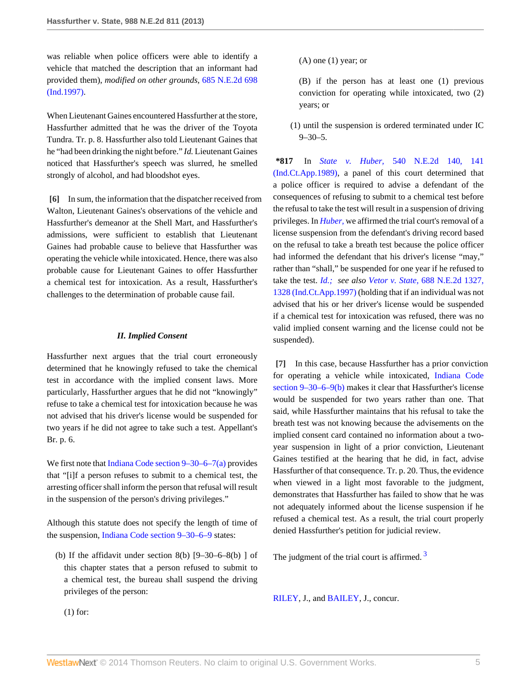was reliable when police officers were able to identify a vehicle that matched the description that an informant had provided them), *modified on other grounds,* [685 N.E.2d 698](http://www.westlaw.com/Link/Document/FullText?findType=Y&serNum=1997208098&pubNum=578&originationContext=document&vr=3.0&rs=cblt1.0&transitionType=DocumentItem&contextData=(sc.Search)) [\(Ind.1997\)](http://www.westlaw.com/Link/Document/FullText?findType=Y&serNum=1997208098&pubNum=578&originationContext=document&vr=3.0&rs=cblt1.0&transitionType=DocumentItem&contextData=(sc.Search)).

When Lieutenant Gaines encountered Hassfurther at the store, Hassfurther admitted that he was the driver of the Toyota Tundra. Tr. p. 8. Hassfurther also told Lieutenant Gaines that he "had been drinking the night before." *Id.* Lieutenant Gaines noticed that Hassfurther's speech was slurred, he smelled strongly of alcohol, and had bloodshot eyes.

<span id="page-4-0"></span>**[\[6\]](#page-1-0)** In sum, the information that the dispatcher received from Walton, Lieutenant Gaines's observations of the vehicle and Hassfurther's demeanor at the Shell Mart, and Hassfurther's admissions, were sufficient to establish that Lieutenant Gaines had probable cause to believe that Hassfurther was operating the vehicle while intoxicated. Hence, there was also probable cause for Lieutenant Gaines to offer Hassfurther a chemical test for intoxication. As a result, Hassfurther's challenges to the determination of probable cause fail.

#### *II. Implied Consent*

Hassfurther next argues that the trial court erroneously determined that he knowingly refused to take the chemical test in accordance with the implied consent laws. More particularly, Hassfurther argues that he did not "knowingly" refuse to take a chemical test for intoxication because he was not advised that his driver's license would be suspended for two years if he did not agree to take such a test. Appellant's Br. p. 6.

We first note that [Indiana Code section 9–30–6–7\(a\)](http://www.westlaw.com/Link/Document/FullText?findType=L&pubNum=1000009&cite=INS9-30-6-7&originatingDoc=Idc8860e8c6bd11e2a160cacff148223f&refType=SP&originationContext=document&vr=3.0&rs=cblt1.0&transitionType=DocumentItem&contextData=(sc.Search)#co_pp_8b3b0000958a4) provides that "[i]f a person refuses to submit to a chemical test, the arresting officer shall inform the person that refusal will result in the suspension of the person's driving privileges."

Although this statute does not specify the length of time of the suspension, [Indiana Code section 9–30–6–9](http://www.westlaw.com/Link/Document/FullText?findType=L&pubNum=1000009&cite=INS9-30-6-9&originatingDoc=Idc8860e8c6bd11e2a160cacff148223f&refType=LQ&originationContext=document&vr=3.0&rs=cblt1.0&transitionType=DocumentItem&contextData=(sc.Search)) states:

(b) If the affidavit under section 8(b)  $[9-30-6-8(b)]$  of this chapter states that a person refused to submit to a chemical test, the bureau shall suspend the driving privileges of the person:

## $(A)$  one  $(1)$  year; or

(B) if the person has at least one (1) previous conviction for operating while intoxicated, two (2) years; or

(1) until the suspension is ordered terminated under IC  $9 - 30 - 5$ .

**\*817** In *State v. Huber,* [540 N.E.2d 140, 141](http://www.westlaw.com/Link/Document/FullText?findType=Y&serNum=1989100975&pubNum=578&fi=co_pp_sp_578_141&originationContext=document&vr=3.0&rs=cblt1.0&transitionType=DocumentItem&contextData=(sc.Search)#co_pp_sp_578_141) [\(Ind.Ct.App.1989\)](http://www.westlaw.com/Link/Document/FullText?findType=Y&serNum=1989100975&pubNum=578&fi=co_pp_sp_578_141&originationContext=document&vr=3.0&rs=cblt1.0&transitionType=DocumentItem&contextData=(sc.Search)#co_pp_sp_578_141), a panel of this court determined that a police officer is required to advise a defendant of the consequences of refusing to submit to a chemical test before the refusal to take the test will result in a suspension of driving privileges. In *[Huber,](http://www.westlaw.com/Link/Document/FullText?findType=Y&serNum=1989100975&originationContext=document&vr=3.0&rs=cblt1.0&transitionType=DocumentItem&contextData=(sc.Search))* we affirmed the trial court's removal of a license suspension from the defendant's driving record based on the refusal to take a breath test because the police officer had informed the defendant that his driver's license "may," rather than "shall," be suspended for one year if he refused to take the test. *[Id.;](http://www.westlaw.com/Link/Document/FullText?findType=Y&serNum=1989100975&originationContext=document&vr=3.0&rs=cblt1.0&transitionType=DocumentItem&contextData=(sc.Search)) see also Vetor v. State,* [688 N.E.2d 1327,](http://www.westlaw.com/Link/Document/FullText?findType=Y&serNum=1997247186&pubNum=578&fi=co_pp_sp_578_1328&originationContext=document&vr=3.0&rs=cblt1.0&transitionType=DocumentItem&contextData=(sc.Search)#co_pp_sp_578_1328) [1328 \(Ind.Ct.App.1997\)](http://www.westlaw.com/Link/Document/FullText?findType=Y&serNum=1997247186&pubNum=578&fi=co_pp_sp_578_1328&originationContext=document&vr=3.0&rs=cblt1.0&transitionType=DocumentItem&contextData=(sc.Search)#co_pp_sp_578_1328) (holding that if an individual was not advised that his or her driver's license would be suspended if a chemical test for intoxication was refused, there was no valid implied consent warning and the license could not be suspended).

<span id="page-4-1"></span>**[\[7\]](#page-1-1)** In this case, because Hassfurther has a prior conviction for operating a vehicle while intoxicated, [Indiana Code](http://www.westlaw.com/Link/Document/FullText?findType=L&pubNum=1000009&cite=INS9-30-6-9&originatingDoc=Idc8860e8c6bd11e2a160cacff148223f&refType=SP&originationContext=document&vr=3.0&rs=cblt1.0&transitionType=DocumentItem&contextData=(sc.Search)#co_pp_a83b000018c76) [section 9–30–6–9\(b\)](http://www.westlaw.com/Link/Document/FullText?findType=L&pubNum=1000009&cite=INS9-30-6-9&originatingDoc=Idc8860e8c6bd11e2a160cacff148223f&refType=SP&originationContext=document&vr=3.0&rs=cblt1.0&transitionType=DocumentItem&contextData=(sc.Search)#co_pp_a83b000018c76) makes it clear that Hassfurther's license would be suspended for two years rather than one. That said, while Hassfurther maintains that his refusal to take the breath test was not knowing because the advisements on the implied consent card contained no information about a twoyear suspension in light of a prior conviction, Lieutenant Gaines testified at the hearing that he did, in fact, advise Hassfurther of that consequence. Tr. p. 20. Thus, the evidence when viewed in a light most favorable to the judgment, demonstrates that Hassfurther has failed to show that he was not adequately informed about the license suspension if he refused a chemical test. As a result, the trial court properly denied Hassfurther's petition for judicial review.

<span id="page-4-2"></span>The judgment of the trial court is affirmed.<sup>[3](#page-5-2)</sup>

[RILEY](http://www.westlaw.com/Link/Document/FullText?findType=h&pubNum=176284&cite=0130076401&originatingDoc=Idc8860e8c6bd11e2a160cacff148223f&refType=RQ&originationContext=document&vr=3.0&rs=cblt1.0&transitionType=DocumentItem&contextData=(sc.Search)), J., and [BAILEY](http://www.westlaw.com/Link/Document/FullText?findType=h&pubNum=176284&cite=0273546301&originatingDoc=Idc8860e8c6bd11e2a160cacff148223f&refType=RQ&originationContext=document&vr=3.0&rs=cblt1.0&transitionType=DocumentItem&contextData=(sc.Search)), J., concur.

(1) for: